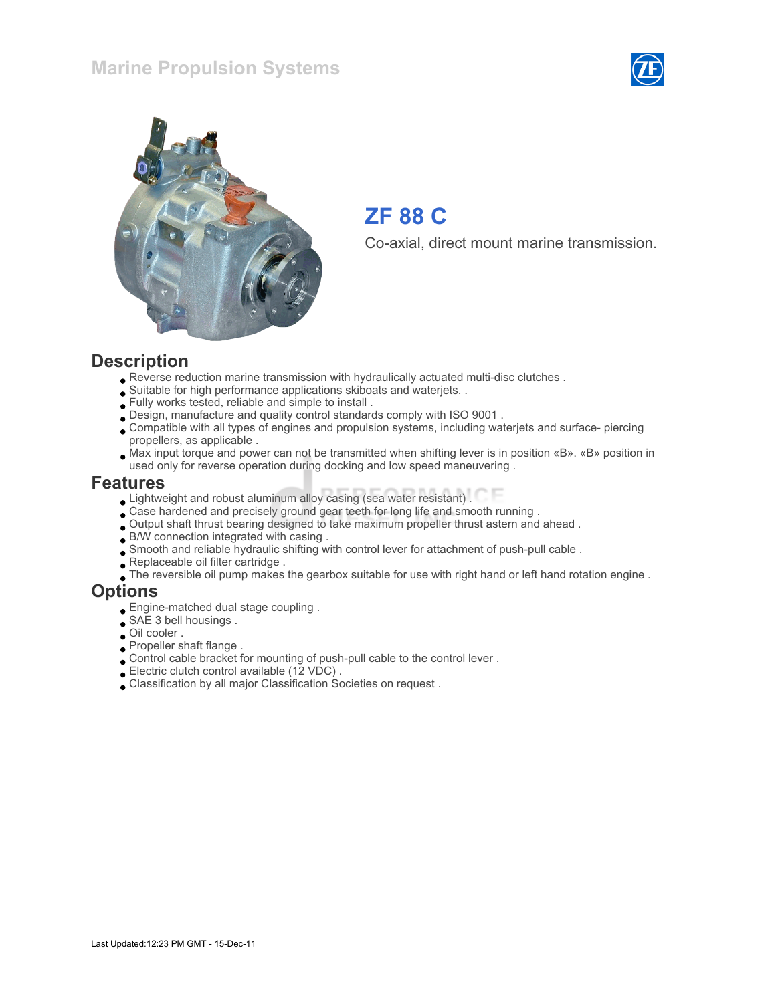#### Marine Propulsion Systems





# ZF 88 C

Co-axial, direct mount marine transmission.

#### **Description**

- Reverse reduction marine transmission with hydraulically actuated multi-disc clutches .
- Suitable for high performance applications skiboats and waterjets. .
- Fully works tested, reliable and simple to install .
- Design, manufacture and quality control standards comply with ISO 9001 .
- Compatible with all types of engines and propulsion systems, including waterjets and surface- piercing propellers, as applicable .
- Max input torque and power can not be transmitted when shifting lever is in position «B». «B» position in used only for reverse operation during docking and low speed maneuvering .

#### Features

- Lightweight and robust aluminum alloy casing (sea water resistant) .
- Case hardened and precisely ground gear teeth for long life and smooth running .
- Output shaft thrust bearing designed to take maximum propeller thrust astern and ahead .
- B/W connection integrated with casing .
- Smooth and reliable hydraulic shifting with control lever for attachment of push-pull cable .
- Replaceable oil filter cartridge .
- The reversible oil pump makes the gearbox suitable for use with right hand or left hand rotation engine .

#### **Options**

- Engine-matched dual stage coupling .
- SAE 3 bell housings .
- Oil cooler .
- Propeller shaft flange.
- Control cable bracket for mounting of push-pull cable to the control lever .
- Electric clutch control available (12 VDC) .
- Classification by all major Classification Societies on request .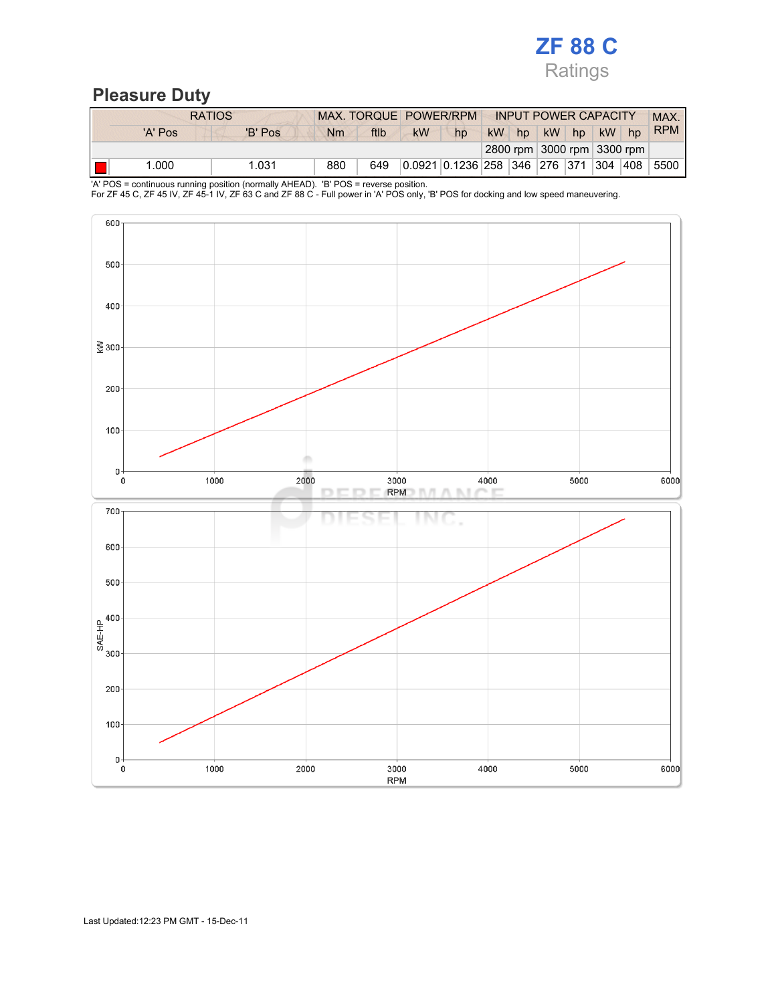## ZF 88 C Ratings

## Pleasure Duty

|         | <b>RATIOS</b> |     | MAX. TORQUE POWER/RPM |           |                                         |    | <b>INPUT POWER CAPACITY</b> |           |    |           |                            | <b>MAX</b> |
|---------|---------------|-----|-----------------------|-----------|-----------------------------------------|----|-----------------------------|-----------|----|-----------|----------------------------|------------|
| 'A' Pos | 'B' Pos       | Nm  | ftlb                  | <b>kW</b> | hp                                      | kW | hp                          | <b>kW</b> | hp | <b>kW</b> | hp                         | <b>RPM</b> |
|         |               |     |                       |           |                                         |    |                             |           |    |           | 2800 rpm 3000 rpm 3300 rpm |            |
| 1.000   | 1.031         | 880 | 649                   |           | 0.0921  0.1236  258  346  276  371  304 |    |                             |           |    |           | 408                        | 5500       |

'A' POS = continuous running position (normally AHEAD). 'B' POS = reverse position.

For ZF 45 C, ZF 45 IV, ZF 45-1 IV, ZF 63 C and ZF 88 C - Full power in 'A' POS only, 'B' POS for docking and low speed maneuvering.

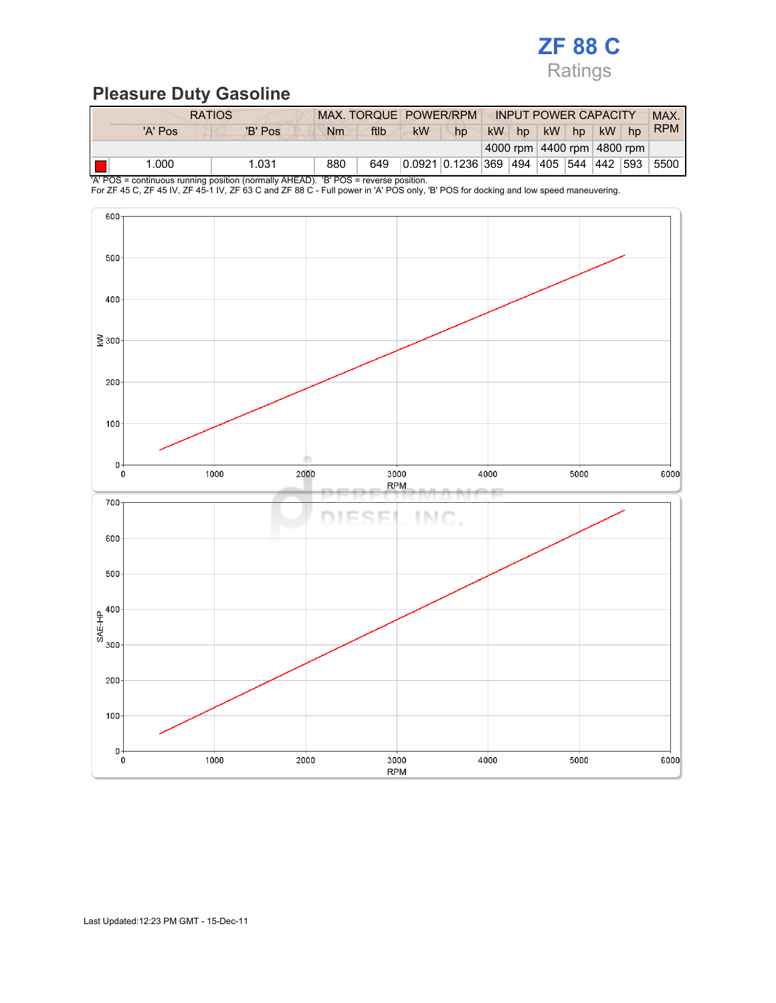

## Pleasure Duty Gasoline

|         | <b>RATIOS</b>                                                                                 |     | MAX. TORQUE POWER/RPM |    |                                       |           |    |           |    | <b>INPUT POWER CAPACITY</b> |                            | <b>MAX</b> |
|---------|-----------------------------------------------------------------------------------------------|-----|-----------------------|----|---------------------------------------|-----------|----|-----------|----|-----------------------------|----------------------------|------------|
| 'A' Pos | 'B' Pos                                                                                       | Nm  | ftlb                  | kW | hp                                    | <b>kW</b> | hp | <b>kW</b> | hp | <b>kW</b>                   | hp                         | <b>RPM</b> |
|         |                                                                                               |     |                       |    |                                       |           |    |           |    |                             | 4000 rpm 4400 rpm 4800 rpm |            |
| 1.000   | 1.031                                                                                         | 880 | 649                   |    | 0.0921 0.1236 369 494 405 544 442 593 |           |    |           |    |                             |                            | 5500       |
|         | $101 \text{ DOP}$ = continuous supplies position (permelly ALIEAD). IDLDOC = severas position |     |                       |    |                                       |           |    |           |    |                             |                            |            |

'A' POS = continuous running position (normally AHEAD). 'B' POS = reverse position. For ZF 45 C, ZF 45 IV, ZF 45-1 IV, ZF 63 C and ZF 88 C - Full power in 'A' POS only, 'B' POS for docking and low speed maneuvering.

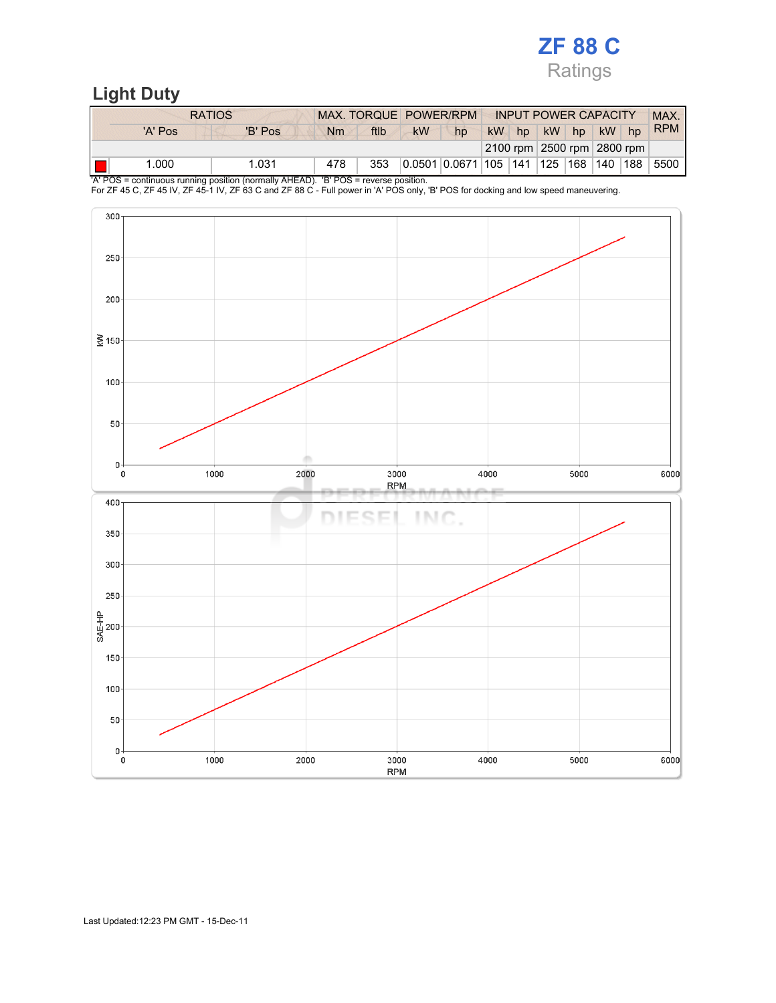## ZF 88 C Ratings

## Light Duty

|         | <b>RATIOS</b> | MAX. TORQUE POWER/RPM |      |           |                                       |    |    |       | <b>INPUT POWER CAPACITY</b> |                            | <b>MAX</b> |
|---------|---------------|-----------------------|------|-----------|---------------------------------------|----|----|-------|-----------------------------|----------------------------|------------|
| 'A' Pos | 'B' Pos       | Nm                    | ftlb | <b>kW</b> | hp                                    | kW | hp | kW hp | $kW$ hp                     |                            | <b>RPM</b> |
|         |               |                       |      |           |                                       |    |    |       |                             | 2100 rpm 2500 rpm 2800 rpm |            |
| 1.000   | 1.031         | 478                   | 353  |           | 0.0501 0.0671 105 141 125 168 140 188 |    |    |       |                             |                            | 5500       |

'A' POS = continuous running position (normally AHEAD). 'B' POS = reverse position. For ZF 45 C, ZF 45 IV, ZF 45-1 IV, ZF 63 C and ZF 88 C - Full power in 'A' POS only, 'B' POS for docking and low speed maneuvering.

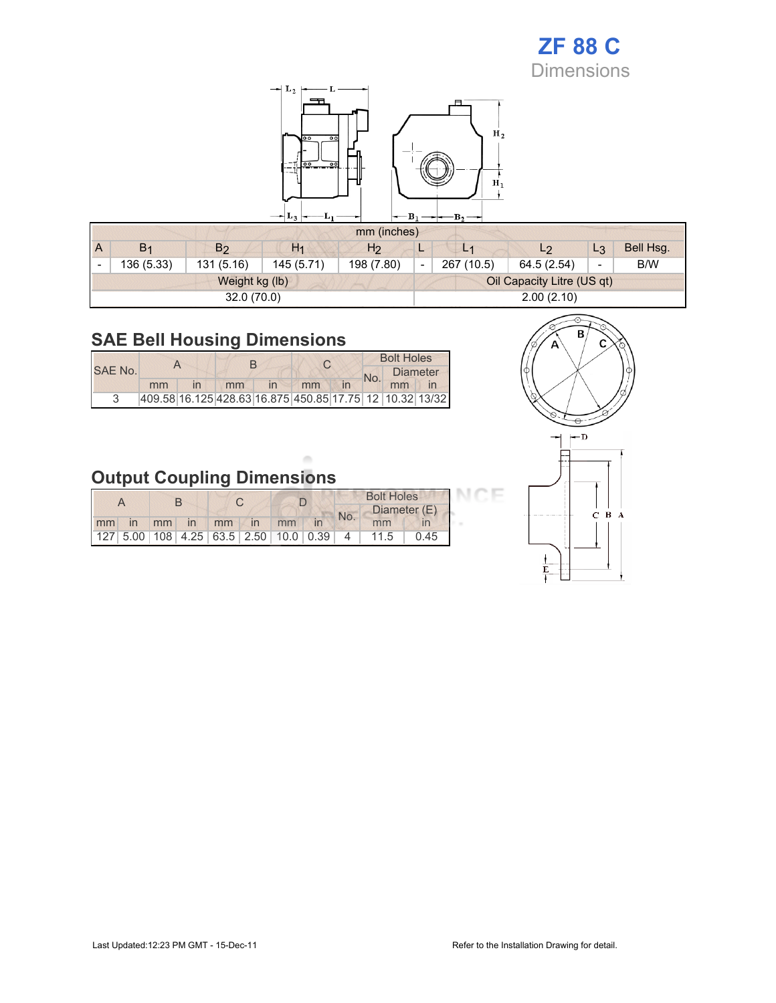### ZF 88 C Dimensions



mm (inches)  $A$  B<sub>1</sub> B<sub>2</sub> H<sub>1</sub> H<sub>2</sub> L L<sub>1</sub> L<sub>2</sub> L<sub>3</sub> Bell Hsg.  $-$  136 (5.33) 131 (5.16) 145 (5.71) 198 (7.80)  $-$  267 (10.5) 64.5 (2.54)  $-$  B/W Weight kg (lb) Oil Capacity Litre (US qt) 32.0 (70.0) 2.00 (2.10)

## SAE Bell Housing Dimensions

|         |    |    |              |                                                         |  |  | <b>Bolt Holes</b> |  |  |  |
|---------|----|----|--------------|---------------------------------------------------------|--|--|-------------------|--|--|--|
| SAE No. |    |    |              |                                                         |  |  | <b>Diameter</b>   |  |  |  |
|         | mm | mm | $\mathsf{I}$ | mm                                                      |  |  | mm                |  |  |  |
|         |    |    |              | 409.58 16.125 428.63 16.875 450.85 17.75 12 10.32 13/32 |  |  |                   |  |  |  |

## Output Coupling Dimensions

|    |  |  |  |             | <b>Bolt Holes</b> |                                                           |                |      |      |  |
|----|--|--|--|-------------|-------------------|-----------------------------------------------------------|----------------|------|------|--|
|    |  |  |  |             |                   | No.                                                       | Diameter $(E)$ |      |      |  |
| mm |  |  |  | in mm in mm | $\mathsf{I}$      | mm                                                        |                | mm   |      |  |
|    |  |  |  |             |                   | 127   5.00   108   4.25   63.5   2.50   10.0   0.39     4 |                | 11.5 | 0.45 |  |



CE